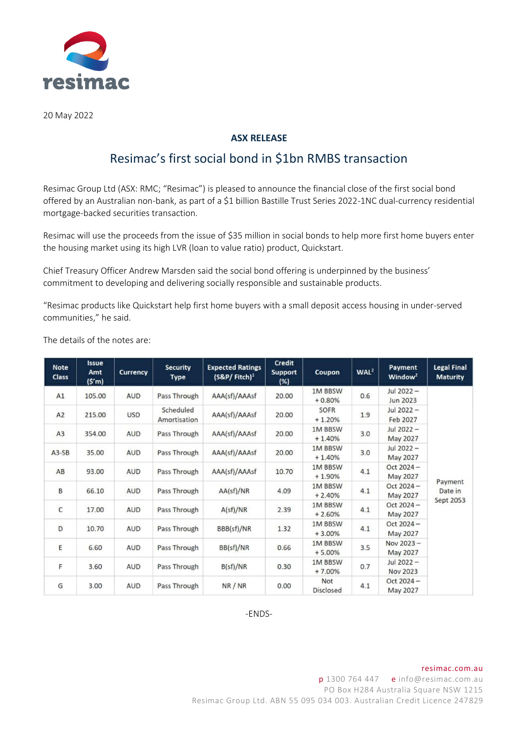

20 May 2022

## **ASX RELEASE**

# Resimac's first social bond in \$1bn RMBS transaction

Resimac Group Ltd (ASX: RMC; "Resimac") is pleased to announce the financial close of the first social bond offered by an Australian non-bank, as part of a \$1 billion Bastille Trust Series 2022-1NC dual-currency residential mortgage-backed securities transaction.

Resimac will use the proceeds from the issue of \$35 million in social bonds to help more first home buyers enter the housing market using its high LVR (loan to value ratio) product, Quickstart.

Chief Treasury Officer Andrew Marsden said the social bond offering is underpinned by the business' commitment to developing and delivering socially responsible and sustainable products.

"Resimac products like Quickstart help first home buyers with a small deposit access housing in under-served communities," he said.

|  |  | The details of the notes are: |  |
|--|--|-------------------------------|--|
|  |  |                               |  |

| <b>Note</b><br><b>Class</b> | <b>Issue</b><br>Amt<br>(S'm) | <b>Currency</b>            | <b>Security</b><br>Type   | <b>Expected Ratings</b><br>$(S&P/Fitch)^1$ | <b>Credit</b><br><b>Support</b><br>$(\%)$ | Coupon                     | WAL <sup>2</sup> | Payment<br>Window <sup>2</sup> | <b>Legal Final</b><br><b>Maturity</b> |
|-----------------------------|------------------------------|----------------------------|---------------------------|--------------------------------------------|-------------------------------------------|----------------------------|------------------|--------------------------------|---------------------------------------|
| A1                          | 105.00                       | <b>AUD</b><br>Pass Through |                           | AAA(sf)/AAAsf                              | 20.00                                     | <b>1M BBSW</b><br>$+0.80%$ | 0.6              | Jul 2022-<br>Jun 2023          |                                       |
| A2                          | 215.00                       | <b>USD</b>                 | Scheduled<br>Amortisation | AAA(sf)/AAAsf                              | 20.00                                     | SOFR<br>$+1.20%$           | 1.9              | Jul 2022-<br>Feb 2027          |                                       |
| A3                          | 354.00<br><b>AUD</b>         |                            | Pass Through              | AAA(sf)/AAAsf                              | 20.00                                     | 1M BBSW<br>$+1.40%$        | 3.0              | Jul 2022-<br>May 2027          |                                       |
| $A3-SB$                     | 35.00<br><b>AUD</b>          |                            | Pass Through              | AAA(sf)/AAAsf                              | 20.00                                     | <b>1M BBSW</b><br>$+1.40%$ | 3.0              | Jul 2022-<br>May 2027          |                                       |
| AB                          | 93.00                        | <b>AUD</b>                 | Pass Through              | AAA(sf)/AAAsf                              | 10.70                                     | <b>1M BBSW</b><br>$+1.90%$ | 4.1              | $Oct 2024 -$<br>May 2027       |                                       |
| B                           | 66.10                        | <b>AUD</b>                 | Pass Through              | AA(sf)/NR                                  | 4.09                                      | <b>1M BBSW</b><br>$+2.40%$ | 4.1              | $Oct 2024 -$<br>May 2027       | Payment<br>Date in                    |
| $\mathsf{C}$                | 17.00                        | <b>AUD</b>                 | Pass Through              | A(sf)/NR                                   | 2.39                                      | <b>1M BBSW</b><br>$+2.60%$ | 4.1              | $Oct 2024 -$<br>May 2027       | Sept 2053                             |
| D                           | 10.70                        | <b>AUD</b>                 | Pass Through              | BBB(sf)/NR                                 | 1.32                                      | <b>1M BBSW</b><br>$+3.00%$ | 4.1              | $Oct 2024 -$<br>May 2027       |                                       |
| E                           | 6.60                         | <b>AUD</b>                 | Pass Through              | BB(sf)/NR                                  | 0.66                                      | <b>1M BBSW</b><br>$+5.00%$ | 3.5              | Nov 2023-<br>May 2027          |                                       |
| F                           | 3.60                         | <b>AUD</b>                 | Pass Through              | B(sf)/NR                                   | 0.30                                      | <b>1M BBSW</b><br>$+7.00%$ | 0.7              | Jul 2022-<br>Nov 2023          |                                       |
| G                           | 3.00                         | <b>AUD</b>                 | Pass Through              | NR/NR                                      | 0.00                                      | Not<br><b>Disclosed</b>    | 4.1              | $Oct 2024 -$<br>May 2027       |                                       |

-ENDS-